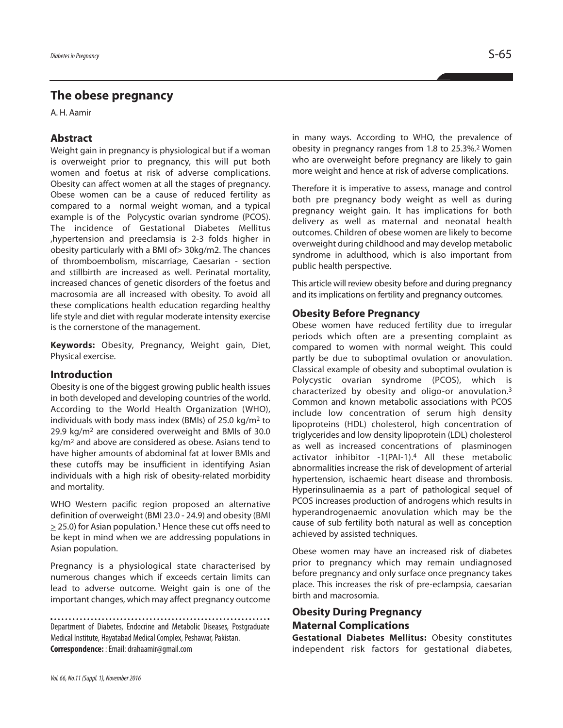# **The obese pregnancy**

A. H. Aamir

## **Abstract**

Weight gain in pregnancy is physiological but if a woman is overweight prior to pregnancy, this will put both women and foetus at risk of adverse complications. Obesity can affect women at all the stages of pregnancy. Obese women can be a cause of reduced fertility as compared to a normal weight woman, and a typical example is of the Polycystic ovarian syndrome (PCOS). The incidence of Gestational Diabetes Mellitus ,hypertension and preeclamsia is 2-3 folds higher in obesity particularly with a BMI of> 30kg/m2. The chances of thromboembolism, miscarriage, Caesarian - section and stillbirth are increased as well. Perinatal mortality, increased chances of genetic disorders of the foetus and macrosomia are all increased with obesity. To avoid all these complications health education regarding healthy life style and diet with regular moderate intensity exercise is the cornerstone of the management.

**Keywords:** Obesity, Pregnancy, Weight gain, Diet, Physical exercise.

### **Introduction**

Obesity is one of the biggest growing public health issues in both developed and developing countries of the world. According to the World Health Organization (WHO), individuals with body mass index (BMIs) of 25.0 kg/m2 to 29.9 kg/m2 are considered overweight and BMIs of 30.0 kg/m2 and above are considered as obese. Asians tend to have higher amounts of abdominal fat at lower BMIs and these cutoffs may be insufficient in identifying Asian individuals with a high risk of obesity-related morbidity and mortality.

WHO Western pacific region proposed an alternative definition of overweight (BMI 23.0 - 24.9) and obesity (BMI  $\ge$  25.0) for Asian population.<sup>1</sup> Hence these cut offs need to be kept in mind when we are addressing populations in Asian population.

Pregnancy is a physiological state characterised by numerous changes which if exceeds certain limits can lead to adverse outcome. Weight gain is one of the important changes, which may affect pregnancy outcome

Department of Diabetes, Endocrine and Metabolic Diseases, Postgraduate Medical Institute, Hayatabad Medical Complex, Peshawar, Pakistan. **Correspondence:** :Email:drahaamir@gmail.com

in many ways. According to WHO, the prevalence of obesity in pregnancy ranges from 1.8 to 25.3%. <sup>2</sup> Women who are overweight before pregnancy are likely to gain more weight and hence at risk of adverse complications.

Therefore it is imperative to assess, manage and control both pre pregnancy body weight as well as during pregnancy weight gain. It has implications for both delivery as well as maternal and neonatal health outcomes. Children of obese women are likely to become overweight during childhood and may develop metabolic syndrome in adulthood, which is also important from public health perspective.

This article will review obesity before and during pregnancy and its implications on fertility and pregnancy outcomes.

## **Obesity Before Pregnancy**

Obese women have reduced fertility due to irregular periods which often are a presenting complaint as compared to women with normal weight. This could partly be due to suboptimal ovulation or anovulation. Classical example of obesity and suboptimal ovulation is Polycystic ovarian syndrome (PCOS), which is characterized by obesity and oligo-or anovulation. 3 Common and known metabolic associations with PCOS include low concentration of serum high density lipoproteins (HDL) cholesterol, high concentration of triglycerides and low density lipoprotein (LDL) cholesterol as well as increased concentrations of plasminogen activator inhibitor -1(PAI-1). <sup>4</sup> All these metabolic abnormalities increase the risk of development of arterial hypertension, ischaemic heart disease and thrombosis. Hyperinsulinaemia as a part of pathological sequel of PCOS increases production of androgens which results in hyperandrogenaemic anovulation which may be the cause of sub fertility both natural as well as conception achieved by assisted techniques.

Obese women may have an increased risk of diabetes prior to pregnancy which may remain undiagnosed before pregnancy and only surface once pregnancy takes place. This increases the risk of pre-eclampsia, caesarian birth and macrosomia.

# **Obesity During Pregnancy Maternal Complications**

**Gestational Diabetes Mellitus:** Obesity constitutes independent risk factors for gestational diabetes,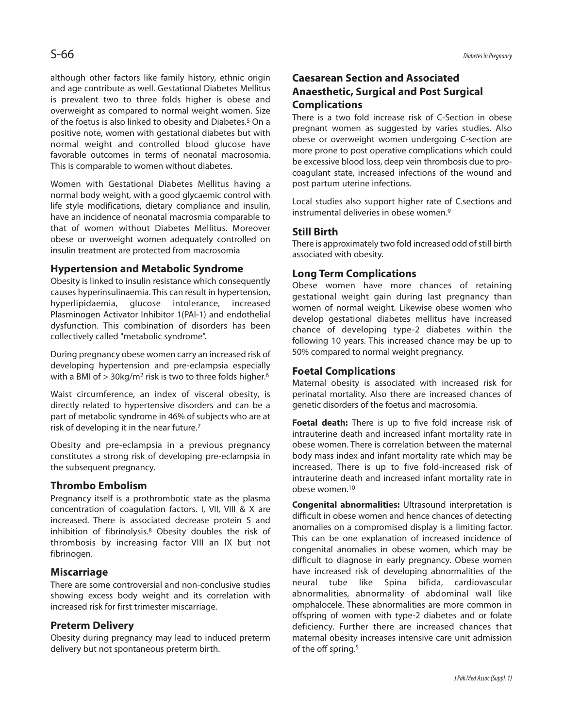although other factors like family history, ethnic origin and age contribute as well. Gestational Diabetes Mellitus is prevalent two to three folds higher is obese and overweight as compared to normal weight women. Size of the foetus is also linked to obesity and Diabetes. <sup>5</sup> On a positive note, women with gestational diabetes but with normal weight and controlled blood glucose have favorable outcomes in terms of neonatal macrosomia. This is comparable to women without diabetes.

Women with Gestational Diabetes Mellitus having a normal body weight, with a good glycaemic control with life style modifications, dietary compliance and insulin, have an incidence of neonatal macrosmia comparable to that of women without Diabetes Mellitus. Moreover obese or overweight women adequately controlled on insulin treatment are protected from macrosomia

## **Hypertension and Metabolic Syndrome**

Obesity is linked to insulin resistance which consequently causes hyperinsulinaemia. This can result in hypertension, hyperlipidaemia, glucose intolerance, increased Plasminogen Activator Inhibitor 1(PAI-1) and endothelial dysfunction. This combination of disorders has been collectively called "metabolic syndrome".

During pregnancy obese women carry an increased risk of developing hypertension and pre-eclampsia especially with a BMI of > 30kg/m2 risk is two to three folds higher. 6

Waist circumference, an index of visceral obesity, is directly related to hypertensive disorders and can be a part of metabolic syndrome in 46% of subjects who are at risk of developing it in the near future. 7

Obesity and pre-eclampsia in a previous pregnancy constitutes a strong risk of developing pre-eclampsia in the subsequent pregnancy.

## **Thrombo Embolism**

Pregnancy itself is a prothrombotic state as the plasma concentration of coagulation factors. I, VII, VIII & X are increased. There is associated decrease protein S and inhibition of fibrinolysis. <sup>8</sup> Obesity doubles the risk of thrombosis by increasing factor VIII an IX but not fibrinogen.

## **Miscarriage**

There are some controversial and non-conclusive studies showing excess body weight and its correlation with increased risk for first trimester miscarriage.

### **Preterm Delivery**

Obesity during pregnancy may lead to induced preterm delivery but not spontaneous preterm birth.

# **Caesarean Section and Associated Anaesthetic, Surgical and Post Surgical Complications**

There is a two fold increase risk of C-Section in obese pregnant women as suggested by varies studies. Also obese or overweight women undergoing C-section are more prone to post operative complications which could be excessive blood loss, deep vein thrombosis due to procoagulant state, increased infections of the wound and post partum uterine infections.

Local studies also support higher rate of C.sections and instrumental deliveries in obese women. 9

## **Still Birth**

There is approximately two fold increased odd of still birth associated with obesity.

#### **Long Term Complications**

Obese women have more chances of retaining gestational weight gain during last pregnancy than women of normal weight. Likewise obese women who develop gestational diabetes mellitus have increased chance of developing type-2 diabetes within the following 10 years. This increased chance may be up to 50% compared to normal weight pregnancy.

#### **Foetal Complications**

Maternal obesity is associated with increased risk for perinatal mortality. Also there are increased chances of genetic disorders of the foetus and macrosomia.

**Foetal death:** There is up to five fold increase risk of intrauterine death and increased infant mortality rate in obese women. There is correlation between the maternal body mass index and infant mortality rate which may be increased. There is up to five fold-increased risk of intrauterine death and increased infant mortality rate in obese women. 10

**Congenital abnormalities:** Ultrasound interpretation is difficult in obese women and hence chances of detecting anomalies on a compromised display is a limiting factor. This can be one explanation of increased incidence of congenital anomalies in obese women, which may be difficult to diagnose in early pregnancy. Obese women have increased risk of developing abnormalities of the neural tube like Spina bifida, cardiovascular abnormalities, abnormality of abdominal wall like omphalocele. These abnormalities are more common in offspring of women with type-2 diabetes and or folate deficiency. Further there are increased chances that maternal obesity increases intensive care unit admission of the off spring. 5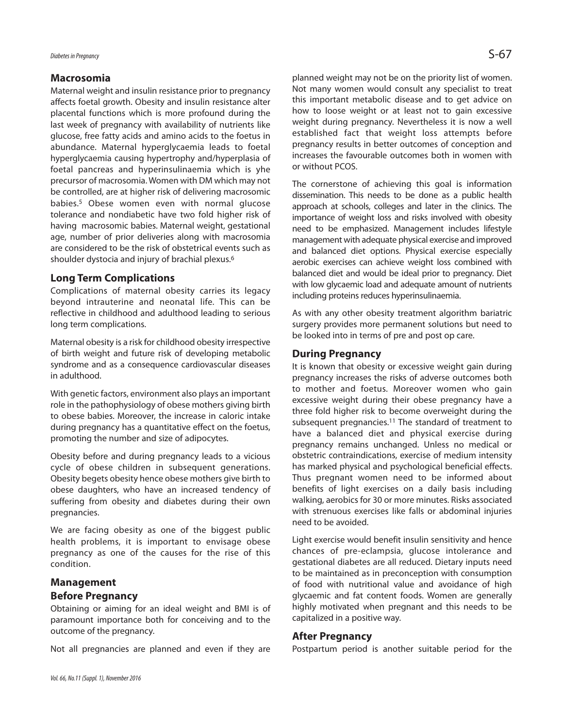#### **Macrosomia**

Maternal weight and insulin resistance prior to pregnancy affects foetal growth. Obesity and insulin resistance alter placental functions which is more profound during the last week of pregnancy with availability of nutrients like glucose, free fatty acids and amino acids to the foetus in abundance. Maternal hyperglycaemia leads to foetal hyperglycaemia causing hypertrophy and/hyperplasia of foetal pancreas and hyperinsulinaemia which is yhe precursor of macrosomia. Women with DM which may not be controlled, are at higher risk of delivering macrosomic babies. <sup>5</sup> Obese women even with normal glucose tolerance and nondiabetic have two fold higher risk of having macrosomic babies. Maternal weight, gestational age, number of prior deliveries along with macrosomia are considered to be the risk of obstetrical events such as shoulder dystocia and injury of brachial plexus. 6

## **Long Term Complications**

Complications of maternal obesity carries its legacy beyond intrauterine and neonatal life. This can be reflective in childhood and adulthood leading to serious long term complications.

Maternal obesity is a risk for childhood obesity irrespective of birth weight and future risk of developing metabolic syndrome and as a consequence cardiovascular diseases in adulthood.

With genetic factors, environment also plays an important role in the pathophysiology of obese mothers giving birth to obese babies. Moreover, the increase in caloric intake during pregnancy has a quantitative effect on the foetus, promoting the number and size of adipocytes.

Obesity before and during pregnancy leads to a vicious cycle of obese children in subsequent generations. Obesity begets obesity hence obese mothers give birth to obese daughters, who have an increased tendency of suffering from obesity and diabetes during their own pregnancies.

We are facing obesity as one of the biggest public health problems, it is important to envisage obese pregnancy as one of the causes for the rise of this condition.

### **Management**

## **Before Pregnancy**

Obtaining or aiming for an ideal weight and BMI is of paramount importance both for conceiving and to the outcome of the pregnancy.

Not all pregnancies are planned and even if they are

planned weight may not be on the priority list of women. Not many women would consult any specialist to treat this important metabolic disease and to get advice on how to loose weight or at least not to gain excessive weight during pregnancy. Nevertheless it is now a well established fact that weight loss attempts before pregnancy results in better outcomes of conception and increases the favourable outcomes both in women with or without PCOS.

The cornerstone of achieving this goal is information dissemination. This needs to be done as a public health approach at schools, colleges and later in the clinics. The importance of weight loss and risks involved with obesity need to be emphasized. Management includes lifestyle management with adequate physical exercise and improved and balanced diet options. Physical exercise especially aerobic exercises can achieve weight loss combined with balanced diet and would be ideal prior to pregnancy. Diet with low glycaemic load and adequate amount of nutrients including proteins reduces hyperinsulinaemia.

As with any other obesity treatment algorithm bariatric surgery provides more permanent solutions but need to be looked into in terms of pre and post op care.

## **During Pregnancy**

It is known that obesity or excessive weight gain during pregnancy increases the risks of adverse outcomes both to mother and foetus. Moreover women who gain excessive weight during their obese pregnancy have a three fold higher risk to become overweight during the subsequent pregnancies. <sup>11</sup> The standard of treatment to have a balanced diet and physical exercise during pregnancy remains unchanged. Unless no medical or obstetric contraindications, exercise of medium intensity has marked physical and psychological beneficial effects. Thus pregnant women need to be informed about benefits of light exercises on a daily basis including walking, aerobics for 30 or more minutes. Risks associated with strenuous exercises like falls or abdominal injuries need to be avoided.

Light exercise would benefit insulin sensitivity and hence chances of pre-eclampsia, glucose intolerance and gestational diabetes are all reduced. Dietary inputs need to be maintained as in preconception with consumption of food with nutritional value and avoidance of high glycaemic and fat content foods. Women are generally highly motivated when pregnant and this needs to be capitalized in a positive way.

## **After Pregnancy**

Postpartum period is another suitable period for the